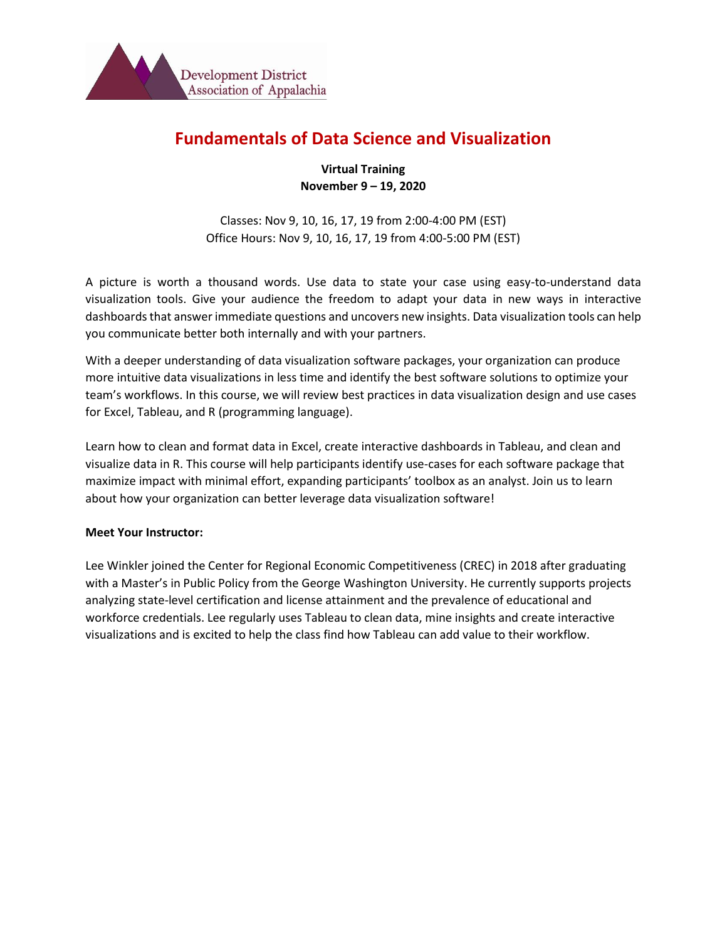

# **Fundamentals of Data Science and Visualization**

**Virtual Training November 9 – 19, 2020**

Classes: Nov 9, 10, 16, 17, 19 from 2:00-4:00 PM (EST) Office Hours: Nov 9, 10, 16, 17, 19 from 4:00-5:00 PM (EST)

A picture is worth a thousand words. Use data to state your case using easy-to-understand data visualization tools. Give your audience the freedom to adapt your data in new ways in interactive dashboards that answer immediate questions and uncovers new insights. Data visualization tools can help you communicate better both internally and with your partners.

With a deeper understanding of data visualization software packages, your organization can produce more intuitive data visualizations in less time and identify the best software solutions to optimize your team's workflows. In this course, we will review best practices in data visualization design and use cases for Excel, Tableau, and R (programming language).

Learn how to clean and format data in Excel, create interactive dashboards in Tableau, and clean and visualize data in R. This course will help participants identify use-cases for each software package that maximize impact with minimal effort, expanding participants' toolbox as an analyst. Join us to learn about how your organization can better leverage data visualization software!

#### **Meet Your Instructor:**

Lee Winkler joined the Center for Regional Economic Competitiveness (CREC) in 2018 after graduating with a Master's in Public Policy from the George Washington University. He currently supports projects analyzing state-level certification and license attainment and the prevalence of educational and workforce credentials. Lee regularly uses Tableau to clean data, mine insights and create interactive visualizations and is excited to help the class find how Tableau can add value to their workflow.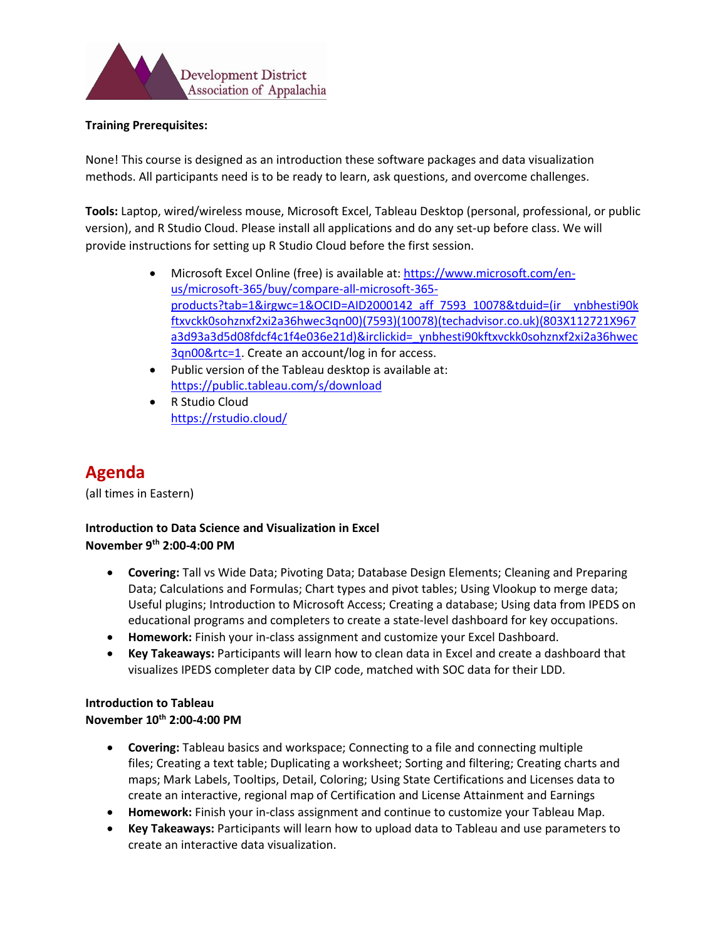

#### **Training Prerequisites:**

None! This course is designed as an introduction these software packages and data visualization methods. All participants need is to be ready to learn, ask questions, and overcome challenges.

**Tools:** Laptop, wired/wireless mouse, Microsoft Excel, Tableau Desktop (personal, professional, or public version), and R Studio Cloud. Please install all applications and do any set-up before class. We will provide instructions for setting up R Studio Cloud before the first session.

- Microsoft Excel Online (free) is available at: [https://www.microsoft.com/en](https://www.microsoft.com/en-us/microsoft-365/buy/compare-all-microsoft-365-products?tab=1&irgwc=1&OCID=AID2000142_aff_7593_10078&tduid=(ir__ynbhesti90kftxvckk0sohznxf2xi2a36hwec3qn00)(7593)(10078)(techadvisor.co.uk)(803X112721X967a3d93a3d5d08fdcf4c1f4e036e21d)&irclickid=_ynbhesti90kftxvckk0sohznxf2xi2a36hwec3qn00&rtc=1)[us/microsoft-365/buy/compare-all-microsoft-365](https://www.microsoft.com/en-us/microsoft-365/buy/compare-all-microsoft-365-products?tab=1&irgwc=1&OCID=AID2000142_aff_7593_10078&tduid=(ir__ynbhesti90kftxvckk0sohznxf2xi2a36hwec3qn00)(7593)(10078)(techadvisor.co.uk)(803X112721X967a3d93a3d5d08fdcf4c1f4e036e21d)&irclickid=_ynbhesti90kftxvckk0sohznxf2xi2a36hwec3qn00&rtc=1) [products?tab=1&irgwc=1&OCID=AID2000142\\_aff\\_7593\\_10078&tduid=\(ir\\_\\_ynbhesti90k](https://www.microsoft.com/en-us/microsoft-365/buy/compare-all-microsoft-365-products?tab=1&irgwc=1&OCID=AID2000142_aff_7593_10078&tduid=(ir__ynbhesti90kftxvckk0sohznxf2xi2a36hwec3qn00)(7593)(10078)(techadvisor.co.uk)(803X112721X967a3d93a3d5d08fdcf4c1f4e036e21d)&irclickid=_ynbhesti90kftxvckk0sohznxf2xi2a36hwec3qn00&rtc=1) [ftxvckk0sohznxf2xi2a36hwec3qn00\)\(7593\)\(10078\)\(techadvisor.co.uk\)\(803X112721X967](https://www.microsoft.com/en-us/microsoft-365/buy/compare-all-microsoft-365-products?tab=1&irgwc=1&OCID=AID2000142_aff_7593_10078&tduid=(ir__ynbhesti90kftxvckk0sohznxf2xi2a36hwec3qn00)(7593)(10078)(techadvisor.co.uk)(803X112721X967a3d93a3d5d08fdcf4c1f4e036e21d)&irclickid=_ynbhesti90kftxvckk0sohznxf2xi2a36hwec3qn00&rtc=1) [a3d93a3d5d08fdcf4c1f4e036e21d\)&irclickid=\\_ynbhesti90kftxvckk0sohznxf2xi2a36hwec](https://www.microsoft.com/en-us/microsoft-365/buy/compare-all-microsoft-365-products?tab=1&irgwc=1&OCID=AID2000142_aff_7593_10078&tduid=(ir__ynbhesti90kftxvckk0sohznxf2xi2a36hwec3qn00)(7593)(10078)(techadvisor.co.uk)(803X112721X967a3d93a3d5d08fdcf4c1f4e036e21d)&irclickid=_ynbhesti90kftxvckk0sohznxf2xi2a36hwec3qn00&rtc=1) [3qn00&rtc=1.](https://www.microsoft.com/en-us/microsoft-365/buy/compare-all-microsoft-365-products?tab=1&irgwc=1&OCID=AID2000142_aff_7593_10078&tduid=(ir__ynbhesti90kftxvckk0sohznxf2xi2a36hwec3qn00)(7593)(10078)(techadvisor.co.uk)(803X112721X967a3d93a3d5d08fdcf4c1f4e036e21d)&irclickid=_ynbhesti90kftxvckk0sohznxf2xi2a36hwec3qn00&rtc=1) Create an account/log in for access.
- Public version of the Tableau desktop is available at: <https://public.tableau.com/s/download>
- R Studio Cloud <https://rstudio.cloud/>

# **Agenda**

(all times in Eastern)

# **Introduction to Data Science and Visualization in Excel November 9th 2:00-4:00 PM**

- **Covering:** Tall vs Wide Data; Pivoting Data; Database Design Elements; Cleaning and Preparing Data; Calculations and Formulas; Chart types and pivot tables; Using Vlookup to merge data; Useful plugins; Introduction to Microsoft Access; Creating a database; Using data from IPEDS on educational programs and completers to create a state-level dashboard for key occupations.
- **Homework:** Finish your in-class assignment and customize your Excel Dashboard.
- **Key Takeaways:** Participants will learn how to clean data in Excel and create a dashboard that visualizes IPEDS completer data by CIP code, matched with SOC data for their LDD.

# **Introduction to Tableau**

#### **November 10th 2:00-4:00 PM**

- **Covering:** Tableau basics and workspace; Connecting to a file and connecting multiple files; Creating a text table; Duplicating a worksheet; Sorting and filtering; Creating charts and maps; Mark Labels, Tooltips, Detail, Coloring; Using State Certifications and Licenses data to create an interactive, regional map of Certification and License Attainment and Earnings
- **Homework:** Finish your in-class assignment and continue to customize your Tableau Map.
- **Key Takeaways:** Participants will learn how to upload data to Tableau and use parameters to create an interactive data visualization.